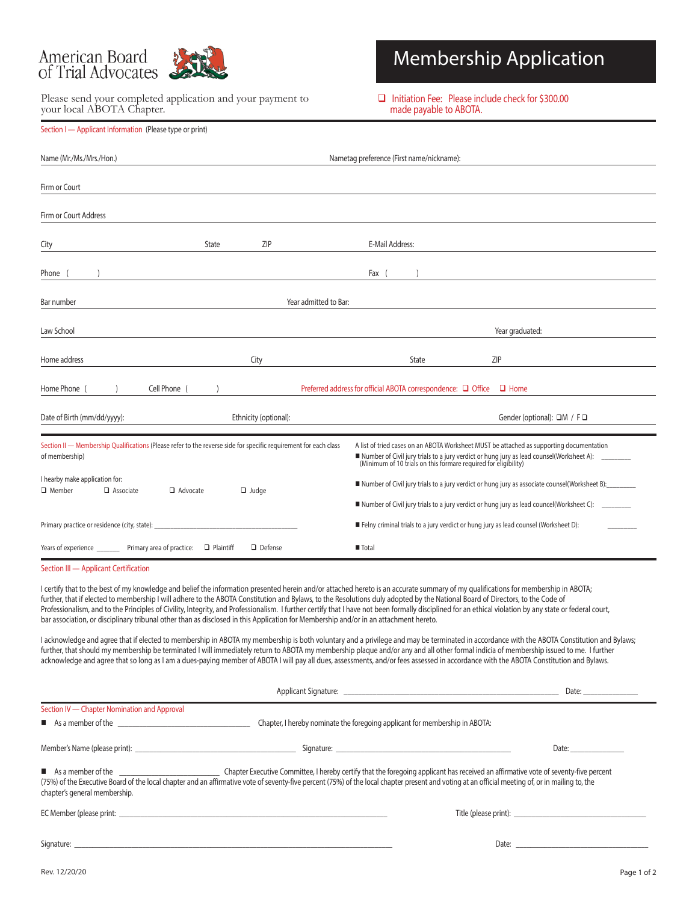

Section I — Applicant Information (Please type or print)

Please send your completed application and your payment to your local ABOTA Chapter.

# Membership Application

 $\Box$  Initiation Fee: Please include check for \$300.00 made payable to ABOTA.

| Name (Mr./Ms./Mrs./Hon.)                                                                                                           | Nametag preference (First name/nickname): |                       |                                                                                                                                                                                             |                                                                                                                                                                                                                                                      |  |
|------------------------------------------------------------------------------------------------------------------------------------|-------------------------------------------|-----------------------|---------------------------------------------------------------------------------------------------------------------------------------------------------------------------------------------|------------------------------------------------------------------------------------------------------------------------------------------------------------------------------------------------------------------------------------------------------|--|
| Firm or Court                                                                                                                      |                                           |                       |                                                                                                                                                                                             |                                                                                                                                                                                                                                                      |  |
| Firm or Court Address                                                                                                              |                                           |                       |                                                                                                                                                                                             |                                                                                                                                                                                                                                                      |  |
| City                                                                                                                               | State                                     | ZIP                   | E-Mail Address:                                                                                                                                                                             |                                                                                                                                                                                                                                                      |  |
| Phone (                                                                                                                            |                                           |                       | Fax (                                                                                                                                                                                       |                                                                                                                                                                                                                                                      |  |
| Bar number                                                                                                                         | Year admitted to Bar:                     |                       |                                                                                                                                                                                             |                                                                                                                                                                                                                                                      |  |
| Law School                                                                                                                         |                                           |                       |                                                                                                                                                                                             | Year graduated:                                                                                                                                                                                                                                      |  |
| Home address                                                                                                                       |                                           | City                  | State                                                                                                                                                                                       | <b>ZIP</b>                                                                                                                                                                                                                                           |  |
| Home Phone (<br>Cell Phone (<br>Preferred address for official ABOTA correspondence: □ Office<br>$\Box$ Home                       |                                           |                       |                                                                                                                                                                                             |                                                                                                                                                                                                                                                      |  |
| Date of Birth (mm/dd/yyyy):                                                                                                        |                                           | Ethnicity (optional): |                                                                                                                                                                                             | Gender (optional): □M / F□                                                                                                                                                                                                                           |  |
| Section II - Membership Qualifications (Please refer to the reverse side for specific requirement for each class<br>of membership) |                                           |                       |                                                                                                                                                                                             | A list of tried cases on an ABOTA Worksheet MUST be attached as supporting documentation<br>Number of Civil jury trials to a jury verdict or hung jury as lead counsel(Worksheet A): (Minimum of 10 trials on this formare required for eligibility) |  |
| I hearby make application for:<br>$\Box$ Advocate<br>$\Box$ Judge<br>$\Box$ Member<br>$\Box$ Associate                             |                                           |                       | Number of Civil jury trials to a jury verdict or hung jury as associate counsel(Worksheet B):<br>■ Number of Civil jury trials to a jury verdict or hung jury as lead councel(Worksheet C): |                                                                                                                                                                                                                                                      |  |
| Primary practice or residence (city, state):                                                                                       |                                           |                       | ■ Felny criminal trials to a jury verdict or hung jury as lead counsel (Worksheet D):                                                                                                       |                                                                                                                                                                                                                                                      |  |
| Years of experience ___________ Primary area of practice:                                                                          | $\Box$ Plaintiff                          | Defense               | ■ Total                                                                                                                                                                                     |                                                                                                                                                                                                                                                      |  |
| Section III - Applicant Certification                                                                                              |                                           |                       |                                                                                                                                                                                             |                                                                                                                                                                                                                                                      |  |

I certify that to the best of my knowledge and belief the information presented herein and/or attached hereto is an accurate summary of my qualifications for membership in ABOTA; further, that if elected to membership I will adhere to the ABOTA Constitution and Bylaws, to the Resolutions duly adopted by the National Board of Directors, to the Code of Professionalism, and to the Principles of Civility, Integrity, and Professionalism. I further certify that I have not been formally disciplined for an ethical violation by any state or federal court, bar association, or disciplinary tribunal other than as disclosed in this Application for Membership and/or in an attachment hereto.

I acknowledge and agree that if elected to membership in ABOTA my membership is both voluntary and a privilege and may be terminated in accordance with the ABOTA Constitution and Bylaws; further, that should my membership be terminated I will immediately return to ABOTA my membership plaque and/or any and all other formal indicia of membership issued to me. I further acknowledge and agree that so long as I am a dues-paying member of ABOTA I will pay all dues, assessments, and/or fees assessed in accordance with the ABOTA Constitution and Bylaws.

|                                                                                                                                                                                                                                      |                                                                                                                                                                                                  | Date: $\qquad \qquad$ |
|--------------------------------------------------------------------------------------------------------------------------------------------------------------------------------------------------------------------------------------|--------------------------------------------------------------------------------------------------------------------------------------------------------------------------------------------------|-----------------------|
| Section IV - Chapter Nomination and Approval                                                                                                                                                                                         |                                                                                                                                                                                                  |                       |
| As a member of the <u>same and the set of the set of the set of the set of the set of the set of the set of the set of the set of the set of the set of the set of the set of the set of the set of the set of the set of the se</u> | Chapter, I hereby nominate the foregoing applicant for membership in ABOTA:                                                                                                                      |                       |
|                                                                                                                                                                                                                                      |                                                                                                                                                                                                  | Date: $\qquad \qquad$ |
| chapter's general membership.                                                                                                                                                                                                        | (75%) of the Executive Board of the local chapter and an affirmative vote of seventy-five percent (75%) of the local chapter present and voting at an official meeting of, or in mailing to, the |                       |
|                                                                                                                                                                                                                                      |                                                                                                                                                                                                  |                       |
| Signature:                                                                                                                                                                                                                           |                                                                                                                                                                                                  | Date:                 |